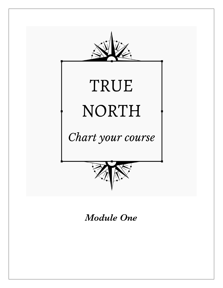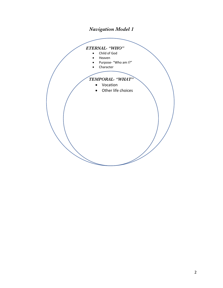# *Navigation Model 1*

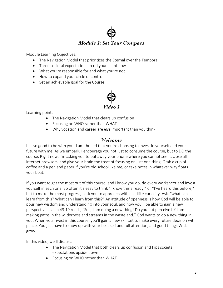

Module Learning Objectives:

- The Navigation Model that prioritizes the Eternal over the Temporal
- Three societal expectations to rid yourself of now
- What you're responsible for and what you're not
- How to expand your circle of control
- Set an achievable goal for the Course



*Video 1*

Learning points:

- The Navigation Model that clears up confusion
- Focusing on WHO rather than WHAT
- Why vocation and career are *less* important than you think

#### *Welcome*

It is so good to be with you! I am thrilled that you're choosing to invest in yourself and your future with me. As we embark, I encourage you not just to consume the course, but to DO the course. Right now, I'm asking you to put away your phone where you cannot see it, close all internet browsers, and give your brain the treat of focusing on just one thing. Grab a cup of coffee and a pen and paper if you're old school like me, or take notes in whatever way floats your boat.

If you want to get the most out of this course, and I know you do, do every worksheet and invest yourself in each one. So often it's easy to think "I know this already," or "I've heard this before," but to make the most progress, I ask you to approach with childlike curiosity. Ask, "what can I learn from this? What can I learn from this?" An attitude of openness is how God will be able to pour new wisdom and understanding into your soul, and how you'll be able to gain a new perspective. Isaiah 43:19 reads, "See, I am doing a new thing! Do you not perceive it? I am making paths in the wilderness and streams in the wasteland." God wants to do a new thing in you. When you invest in this course, you'll gain a new skill set to make every future decision with peace. You just have to show up with your best self and full attention, and good things WILL grow.

In this video, we'll discuss:

- The Navigation Model that both clears up confusion and flips societal expectations upside down
- Focusing on WHO rather than WHAT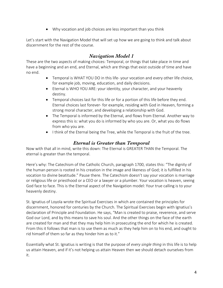• Why vocation and job choices are less important than you think

Let's start with the Navigation Model that will set up how we are going to think and talk about discernment for the rest of the course.

# *Navigation Model 1*

These are the two aspects of making choices: Temporal, or things that take place in time and have a beginning and an end, and Eternal, which are things that exist outside of time and have no end.

- Temporal is WHAT YOU DO in this life- your vocation and every other life choice, for example job, moving, education, and daily decisions.
- Eternal is WHO YOU ARE: your identity, your character, and your heavenly destiny.
- Temporal choices last for this life or for a portion of this life before they end. Eternal choices last forever- for example, residing with God in Heaven, forming a strong moral character, and developing a relationship with God.
- The Temporal is informed by the Eternal, and flows from Eternal. Another way to express this is: what you do is informed by who you are. Or, what you do flows from who you are.
- I think of the Eternal being the Tree, while the Temporal is the fruit of the tree.

## *Eternal is Greater than Temporal*

Now with that all in mind, write this down: The Eternal is GREATER THAN the Temporal. The eternal is greater than the temporal.

Here's why: The Catechism of the Catholic Church, paragraph 1700, states this: "The dignity of the human person is rooted in his creation in the image and likeness of God; it is fulfilled in his vocation to divine beatitude." Pause there. The Catechism doesn't say your vocation is marriage or religious life or priesthood or a CEO or a lawyer or a plumber. Your vocation is heaven, seeing God face to face. This is the Eternal aspect of the Navigation model: Your true calling is to your heavenly destiny.

St. Ignatius of Loyola wrote the Spiritual Exercises in which are contained the principles for discernment, honored for centuries by the Church. The Spiritual Exercises begin with Ignatius's declaration of Principle and Foundation. He says, "Man is created to praise, reverence, and serve God our Lord, and by this means to save his soul. And the other things on the face of the earth are created for man and that they may help him in prosecuting the end for which he is created. From this it follows that man is to use them as much as they help him on to his end, and ought to rid himself of them so far as they hinder him as to it."

Essentially what St. Ignatius is writing is that the purpose of *every single thing* in this life is to help us attain Heaven, and if it's not helping us attain Heaven then we should detach ourselves from it.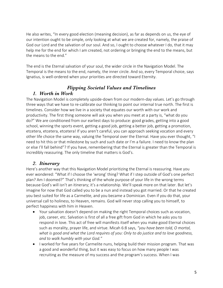He also writes, "In every good election (meaning decision), as far as depends on us, the eye of our intention ought to be simple, only looking at what we are created for, namely, the praise of God our Lord and the salvation of our soul. And so, I ought to choose whatever I do, that it may help me for the end for which I am created, not ordering or bringing the end to the means, but the means to the end."

The end is the Eternal salvation of your soul, the wider circle in the Navigation Model. The Temporal is the means to the end, namely, the inner circle. And so, every Temporal choice, says Ignatius, is well-ordered when your priorities are directed toward Eternity.

#### *Flipping Societal Values and Timelines 1. Worth in Work*

The Navigation Model is completely upside-down from our modern-day values. Let's go through three ways that we have to re-calibrate our thinking to point our internal true north. The first is timelines. Consider how we live in a society that equates our worth with our work and productivity. The first thing someone will ask you when you meet at a party is, "what do you do?" We are conditioned from our earliest days to produce: good grades, getting into a good school, winning the sports event, getting a good job, getting a better job, getting a promotion, etcetera, etcetera, etcetera! If you aren't careful, you can approach seeking vocation and every other life choice the same way, valuing the Temporal over the Eternal. Have you ever thought, "I need to hit this or that milestone by such and such date or I'm a failure. I need to know the plan or else I'll fall behind"? If you have, remembering that the Eternal is greater than the Temporal is incredibly reassuring. The only timeline that matters is God's.

### *2. Itinerary*

Here's another way that this Navigation Model prioritizing the Eternal is reassuring. Have you ever wondered: "What if I choose the 'wrong' thing? What if I step outside of God's one perfect plan? Am I doomed?" That's thinking of the whole purpose of your life in the wrong terms because God's will isn't an itinerary; it's a relationship. We'll speak more on that later. But let's imagine for now that God called you to be a nun and instead you got married. Or that he created you best suited for life as a Carmelite, and you became a Dominican. Even if you do that, your universal call to holiness, to Heaven, remains. God will never stop calling you to himself, to perfect happiness with him in Heaven.

- Your salvation doesn't depend on making the right Temporal choices such as vocation, job, career, etc. Salvation is first of all a free gift from God in which he asks you to respond in love. This act of free will manifests itself when you make good Eternal choices such as morality, prayer life, and virtue. Micah 6:8 says, *"you have been told, O mortal, what is good and what the Lord requires of you: Only to do justice and to love goodness, and to walk humbly with your God."*
- I worked for five years for Carmelite nuns, helping build their mission program. That was a good and wonderful thing, but it was easy to focus on how many people I was recruiting as the measure of my success and the program's success. When I was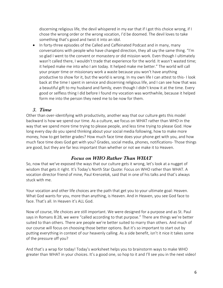discerning religious life, the devil whispered in my ear that if I got this choice wrong, if I chose the wrong order or the wrong vocation, I'd be doomed. The devil loves to take something that's good and twist it into an idol.

• In forty-three episodes of the Called and Caffeinated Podcast and in many, many conversations with people who have changed direction, they all say the same thing. "I'm so glad I went to the convent or monastery or did mission work. Even though I ultimately wasn't called there, I wouldn't trade that experience for the world. It wasn't wasted time; it helped make me into who I am today. It helped make me better." The world will call your prayer time or missionary work a waste because you won't have anything productive to show for it, but the world is wrong. In my own life I can attest to this- I look back at the time I spent in service and discerning religious life, and I can see how that was a beautiful gift to my husband and family, even though I didn't know it at the time. Every good or selfless thing I did before I found my vocation was worthwhile, because it helped form me into the person they need me to be now for them.

### *3. Time*

Other than over-identifying with productivity, another way that our culture gets this model backward is how we spend our time. As a culture, we focus on WHAT rather than WHO in the way that we spend more time trying to please people, and less time trying to please God. How long every day do you spend thinking about your social media following, how to make more money, how to get better grades? How much face time does your phone get with you, and how much face time does God get with you? Grades, social media, phones, notifications- Those things are good, but they are far less important than whether or not we make it to Heaven.

### *Focus on WHO Rather Than WHAT*

So, now that we've exposed the ways that our culture gets it wrong, let's look at a nugget of wisdom that gets it right. It's Today's North Star Quote: Focus on WHO rather than WHAT. A vocation director friend of mine, Paul Krenzelok, said that in one of his talks and that's always stuck with me.

Your vocation and other life choices are the path that get you to your ultimate goal: Heaven. What God wants for you, more than anything, is Heaven. And in Heaven, you see God face to face. That's all. In Heaven it's ALL God.

Now of course, life choices are still important. We were designed for a purpose and as St. Paul says in Romans 8:28, we were "called according to that purpose." There are things we're better suited to than others. There are people we're better suited to marry than others. And much of our course will focus on choosing those better options. But it's so important to start out by putting everything in context of our heavenly calling. As a side benefit, isn't it nice it takes some of the pressure off you?

And that's a wrap for today! Today's worksheet helps you to brainstorm ways to make WHO greater than WHAT in your choices. It's a good one, so hop to it and I'll see you in the next video!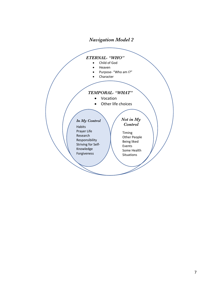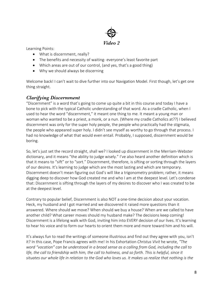

Learning Points:

- What is discernment, really?
- The benefits and necessity of waiting- everyone's least favorite part
- Which areas are out of our control, (and yes, that's a good thing)
- Why we should always be discerning

Welcome back! I can't wait to dive further into our Navigation Model. First though, let's get one thing straight.

### *Clarifying Discernment*

"Discernment" is a word that's going to come up quite a bit in this course and today I have a bone to pick with the typical Catholic understanding of that word. As a cradle Catholic, when I used to hear the word "discernment," it meant one thing to me. It meant a young man or woman who wanted to be a priest, a monk, or a nun. (Where my cradle Catholics at??) I believed discernment was only for the super holy people, the people who practically had the stigmata, the people who appeared super holy. I didn't see myself as worthy to go through that process. I had no knowledge of what that would even entail. Probably, I supposed, discernment would be boring.

So, let's just set the record straight, shall we? I looked up discernment in the Merriam-Webster dictionary, and it means "the ability to judge wisely." I've also heard another definition which is that it means to "sift" or to "sort." Discernment, therefore, is sifting or sorting through the layers of our desires. It's learning to judge which are the most lasting and which are temporary. Discernment doesn't mean figuring out God's will like a trigonometry problem; rather, it means digging deep to discover how God created me and who I am at the deepest level. Let's condense that: Discernment is sifting through the layers of my desires to discover who I was created to be at the deepest level.

Contrary to popular belief, Discernment is also NOT a one-time decision about your vocation. Heck, my husband and I got married and we discovered it raised more questions than it answered. Where should we move? When should we buy a house? When are we called to have another child? What career moves should my husband make? The decisions keep coming! Discernment is a lifelong walk with God, inviting him into EVERY decision of our lives. It's learning to hear his voice and to form our hearts to orient them more and more toward him and his will.

It's always fun to read the writings of someone illustrious and find out they agree with you, isn't it? In this case, Pope Francis agrees with me! In his Exhortation *Christus Vivit* he wrote, *"The word "vocation" can be understood in a broad sense as a calling from God, including the call to life, the call to friendship with him, the call to holiness, and so forth. This is helpful, since it situates our whole life in relation to the God who loves us. It makes us realize that nothing is the*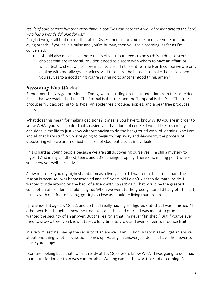*result of pure chance but that everything in our lives can become a way of responding to the Lord, who has a wonderful plan for us."*

I'm glad we got all that out on the table. Discernment is for you, me, and everyone until our dying breath. If you have a pulse and you're human, then you are discerning, as far as I'm concerned.

• I should also make a side note that's obvious but needs to be said: You don't discern choices that are immoral. You don't need to discern with whom to have an affair, or which test to cheat on, or how much to steal. In this entire True North course we are only dealing with morally good choices. And those are the hardest to make, because when you say yes to a good thing you're saying no to another good thing, amen?

### *Becoming Who We Are*

Remember the Navigation Model? Today, we're building on that foundation from the last video. Recall that we established that The Eternal is the tree, and the Temporal is the fruit. The tree produces fruit according to its type: An apple tree produces apples, and a pear tree produces pears.

What does this mean for making decisions? It means you have to know WHO you are in order to know WHAT you want to do. That's easier said than done of course. I would like in so many decisions in my life to just know without having to do the background work of learning who I am and all that hazy stuff. So, we're going to begin to chip away and de-mystify the process of discovering who we are- not just children of God, but also as individuals.

This is hard as young people because we are still discovering ourselves. I'm still a mystery to myself! And in my childhood, teens and 20's I changed rapidly. There's no ending point where you know yourself perfectly.

Allow me to tell you my highest ambition as a five-year-old: I wanted to be a trashman. The reason is because I was homeschooled and at 5 years old I didn't want to do math inside. I wanted to ride around on the back of a truck *with no seat belt*. That would be the greatest conception of freedom I could imagine. When we went to the grocery store I'd hang off the cart, usually with one foot dangling, getting as close as I could to living that dream.

I pretended at age 15, 18, 22, and 25 that I really had myself figured out- that I was "finished." In other words, I thought I knew the tree I was and the kind of fruit I was meant to produce. I wanted the security of an answer. But the reality is that I'm never "finished." But if you've ever tried to grow a tree, you know it takes a long time to grow and even longer to produce fruit.

In every milestone, having the security of an answer is an illusion. As soon as you get an answer about one thing, another question comes up. Having an answer just doesn't have the power to make you happy.

I can see looking back that I wasn't ready at 15, 18, or 20 to know WHAT I was going to do. I had to mature for longer than was comfortable. Waiting can be the worst part of discerning. So, if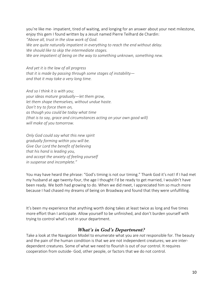you're like me- impatient, tired of waiting, and longing for an answer about your next milestone, enjoy this gem I found written by a Jesuit named Pierre Teilhard de Chardin: *"Above all, trust in the slow work of God. We are quite naturally impatient in everything to reach the end without delay. We should like to skip the intermediate stages. We are impatient of being on the way to something unknown, something new.*

*And yet it is the law of all progress that it is made by passing through some stages of instability and that it may take a very long time.*

*And so I think it is with you; your ideas mature gradually—let them grow, let them shape themselves, without undue haste. Don't try to force them on, as though you could be today what time (that is to say, grace and circumstances acting on your own good will) will make of you tomorrow.*

*Only God could say what this new spirit gradually forming within you will be. Give Our Lord the benefit of believing that his hand is leading you, and accept the anxiety of feeling yourself in suspense and incomplete."*

You may have heard the phrase: "God's timing is not our timing." Thank God it's not! If I had met my husband at age twenty-four, the age I thought I'd be ready to get married, I wouldn't have been ready. We both had growing to do. When we did meet, I appreciated him so much more because I had chased my dreams of being on Broadway and found that they were unfulfilling.

It's been my experience that anything worth doing takes at least twice as long and five times more effort than I anticipate. Allow yourself to be unfinished, and don't burden yourself with trying to control what's not in your department.

### *What's in God's Department?*

Take a look at the Navigation Model to enumerate what you are *not* responsible for. The beauty and the pain of the human condition is that we are not independent creatures; we are interdependent creatures. Some of what we need to flourish is out of our control. It requires cooperation from outside- God, other people, or factors that we do not control.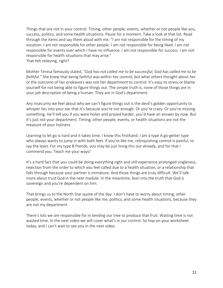Things that are not in your control: Timing, other people, events, whether or not people like you, success, politics, and some health situations. Pause for a moment. Take a look at that list. Read through the items and say them aloud with me: "I am not responsible for the timing of my vocation. I am not responsible for other people. I am not responsible for being liked. I am not responsible for events over which I have no influence. I am not responsible for success. I am not responsible for health situations that may arise." That felt relieving, right?

Mother Teresa famously stated, *"God has not called me to be successful; God has called me to be faithful."* She knew that being faithful was within her control, but what others thought about her or the outcome of her endeavors was not her department to control. It's easy to stress or blame yourself for not being able to figure things out. The simple truth is, none of those things are in your job description of being a human. They are in God's department.

Any insecurity we feel about why we can't figure things out is the devil's golden opportunity to whisper lies into your ear that it's because you're not enough. Or you're crazy. Or you're missing something. He'll tell you if you were holier and prayed harder, you'd have an answer by now. But it's just not your department. Timing, other people, events, or health situations are not the measure of your holiness.

Learning to let go is hard and it takes time. I know this firsthand: I am a type A go-getter type who always wants to jump in with both feet. If you're like me, relinquishing control is painful, to say the least. For my type B friends, you may be just living this out already, and for that I commend you. Teach me your ways!

It's a hard fact that you could be doing everything right and still experience prolonged singleness, rejection from the order to which you feel called due to a health situation, or a relationship that falls through because your partner is immature. And those things are truly difficult. We'll talk more about trust God in the next module. In the meantime, lean into the truth that God is sovereign and you're dependent on him.

That brings us to the North Star quote of the day: I don't have to worry about timing, other people, events, whether or not people like me, politics, and some health situations, because they are not my department.

There's lots we *are* responsible for in tending our tree to produce that fruit. Waiting time is not wasted time. In the next video we will cover what's in our control. So hop on your worksheet today, and I can't wait to see you in the next video.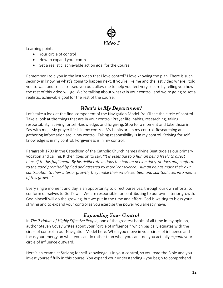

Learning points:

- Your circle of control
- How to expand your control
- Set a realistic, achievable action goal for the Course

Remember I told you in the last video that I love control? I love knowing the plan. There is such security in knowing what's going to happen next. If you're like me and the last video where I told you to wait and trust stressed you out, allow me to help you feel very secure by telling you how the rest of this video will go. We're talking about what *is* in your control, and we're going to set a realistic, achievable goal for the rest of the course.

#### *What's in My Department?*

Let's take a look at the final component of the Navigation Model. You'll see the circle of control. Take a look at the things that are in your control: Prayer life, habits, researching, taking responsibility, striving for self-knowledge, and forgiving. Stop for a moment and take those in. Say with me, "My prayer life is in my control. My habits are in my control. Researching and gathering information are in my control. Taking responsibility is in my control. Striving for selfknowledge is in my control. Forgiveness is in my control.

Paragraph 1700 in the Catechism of the Catholic Church names divine Beatitude as our primary vocation and calling. It then goes on to say: *"It is essential to a human being freely to direct himself to this fulfillment. By his deliberate actions the human person does, or does not, conform to the good promised by God and attested by moral conscience. Human beings make their own contribution to their interior growth; they make their whole sentient and spiritual lives into means of this growth."*

Every single moment and day is an opportunity to direct ourselves, through our own efforts, to conform ourselves to God's will. We are responsible for contributing to our own interior growth. God himself will do the growing, but we put in the time and effort. God is waiting to bless your striving and to expand your control as you exercise the power you already have.

### *Expanding Your Control*

In *The 7 Habits of Highly Effective People*, one of the greatest books of all time in my opinion, author Steven Covey writes about your "circle of influence," which basically equates with the circle of control in our Navigation Model here. When you move in your circle of influence and focus your energy on what you can do rather than what you can't do, you actually *expand* your circle of influence outward.

Here's an example: Striving for self-knowledge is in your control, so you read the Bible and you invest yourself fully in this course. You expand your understanding - you begin to comprehend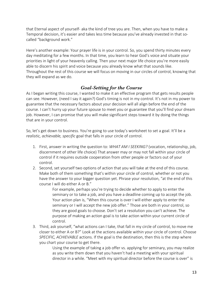that Eternal aspect of yourself- aka the kind of tree you are. Then, when you have to make a Temporal decision, it's easier and takes less time because you've already invested in that socalled "background work."

Here's another example: Your prayer life is in your control. So, you spend thirty minutes every day meditating for a few months. In that time, you learn to hear God's voice and situate your priorities in light of your heavenly calling. Then your next major life choice you're more easily able to discern his spirit and voice because you already know what that sounds like. Throughout the rest of this course we will focus on moving in our circles of control, knowing that they will expand as we do.

### *Goal-Setting for the Course*

As I began writing this course, I wanted to make it an effective program that gets results people can see. However, (need I say it again?) God's timing is not in my control. It's not in my power to guarantee that the necessary factors about your decision will all align before the end of the course. I can't hurry up your future spouse to meet you or guarantee that you'll find your dream job. However, I can promise that you will make significant steps toward it by doing the things that are in your control.

So, let's get down to business. You're going to use today's worksheet to set a goal. It'll be a *realistic, achievable, specific* goal that falls in your circle of control.

- 1. First, answer in writing the question to: *WHAT AM I SEEKING?* (vocation, relationship, job, discernment of other life choice) That answer may or may not fall within your circle of control if it requires outside cooperation from other people or factors out of your control.
- 2. Second, set yourself two options of action that you will take at the end of this course. Make both of them something that's within your circle of control, whether or not you have the answer to your bigger question yet. Phrase your resolution, "at the end of this course I will do either A or B."

For example, perhaps you're trying to decide whether to apply to enter the seminary or to take a job, and you have a deadline coming up to accept the job. Your action plan is, "When this course is over I will either apply to enter the seminary or I will accept the new job offer." Those are both in your control, so they are good goals to choose. Don't set a resolution you can't achieve. The purpose of making an action goal is to take action within your current circle of control.

3. Third, ask yourself, "what actions can I take, that fall in my circle of control, to move me closer to either A or B?" Look at the actions available within your circle of control. Choose *SPECIFIC, ACHIEVABLE* actions. If the goal is the destination, then this is the step where you chart your course to get there.

> Using the example of taking a job offer vs. applying for seminary, you may realize as you write them down that you haven't had a meeting with your spiritual director in a while. "Meet with my spiritual director before the course is over" is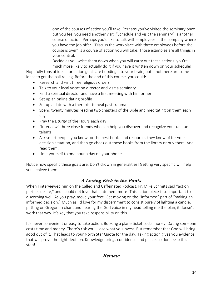one of the courses of action you'll take. Perhaps you've visited the seminary once but you feel you need another visit. "Schedule and visit the seminary" is another course of action. Perhaps you'd like to talk with employees in the company where you have the job offer. "Discuss the workplace with three employees before the course is over" is a course of action you will take. Those examples are all things in your control.

Decide as you write them down when you will carry out these actions- you're much more likely to actually do it if you have it written down on your schedule!

Hopefully tons of ideas for action goals are flooding into your brain, but if not, here are some ideas to get the ball rolling. Before the end of this course, you could:

- Research and visit three religious orders
- Talk to your local vocation director and visit a seminary
- Find a spiritual director and have a first meeting with him or her
- Set up an online dating profile
- Set up a date with a therapist to heal past trauma
- Spend twenty minutes reading two chapters of the Bible and meditating on them each day
- Pray the Liturgy of the Hours each day
- "Interview" three close friends who can help you discover and recognize your unique talents
- Ask smart people you know for the best books and resources they know of for your decision situation, and then go check out those books from the library or buy them. And read them.
- Limit yourself to one hour a day on your phone

Notice how specific these goals are. Don't drown in generalities! Getting very specific will help you achieve them.

### *A Loving Kick in the Pants*

When I interviewed him on the Called and Caffeinated Podcast, Fr. Mike Schmitz said "action purifies desire," and I could not love that statement more! This action piece is so important to discerning well. As you pray, move your feet. Get moving on the "informed" part of "making an informed decision." Much as I'd love for my discernment to consist purely of lighting a candle, putting on Gregorian chant and hearing the God voice in my head telling me the plan, it doesn't work that way. It's key that you take responsibility on this.

It's never convenient or easy to take action. Booking a plane ticket costs money. Dating someone costs time and money. There's risk you'll lose what you invest. But remember that God will bring good out of it. That leads to your North Star Quote for the day: Taking action gives you evidence that will prove the right decision. Knowledge brings confidence and peace, so don't skip this step!

### *Review*